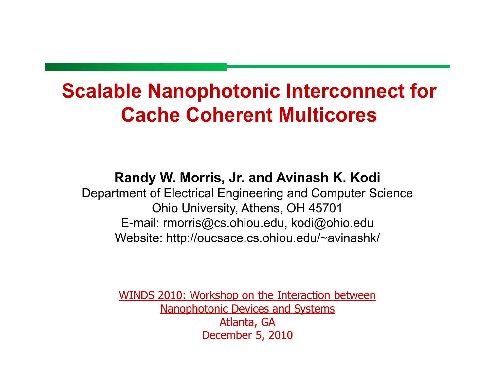### **Scalable Nanophotonic Interconnect for Cache Coherent Multicores**

#### Randy W. Morris, Jr. and Avinash K. Kodi

Department of Electrical Engineering and Computer Science Ohio University, Athens, OH 45701 E-mail: rmorris@cs.ohiou.edu, kodi@ohio.edu Website: http://oucsace.cs.ohiou.edu/~avinashk/

> <u>WINDS 2010: Workshop on the Interaction between</u> **Nanophotonic Devices and Systems** Atlanta, GA December 5, 2010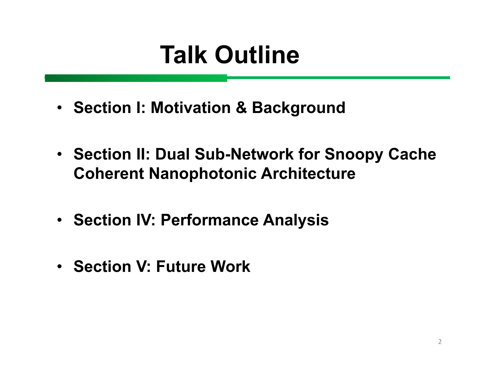## **Talk Outline**

- **Section I: Motivation & Background**
- **Section II: Dual Sub-Network for Snoopy Cache Coherent Nanophotonic Architecture**
- **Section IV: Performance Analysis**
- **Section V: Future W ork**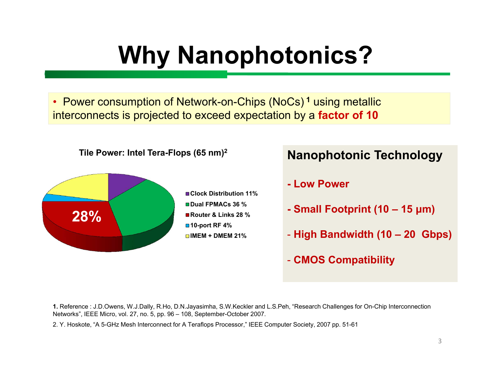# **Why Nanophotonics?**

• Power consumption of Network-on-Chips (NoCs)<sup>1</sup> using metallic interconnects is projected to exceed expectation by a factor of 10



#### **Nanophotonic Technology**

- Low Power
- Small Footprint (10 15 µm)
- High Bandwidth (10 20 Gbps)
- CMOS Compatibility

1. Reference: J.D.Owens, W.J.Dally, R.Ho, D.N.Jayasimha, S.W.Keckler and L.S.Peh, "Research Challenges for On-Chip Interconnection Networks", IEEE Micro, vol. 27, no. 5, pp. 96 - 108, September-October 2007.

2. Y. Hoskote, "A 5-GHz Mesh Interconnect for A Teraflops Processor," IEEE Computer Society, 2007 pp. 51-61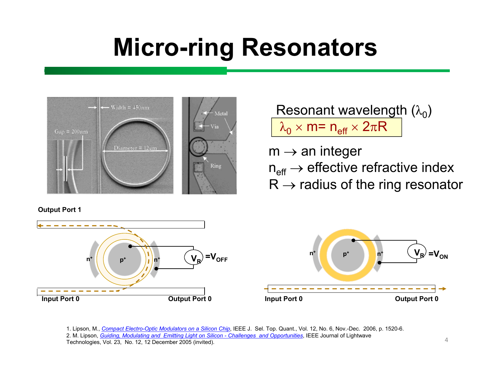## **Micro-ring Resonators**



#### Resonant wavelength  $(\lambda_0)$  $\lambda_{\mathsf{0}} \times \mathsf{m}$ = n<sub>eff</sub>  $\times$  2 $\pi \mathsf{R}$

 $m \rightarrow$  an integer  $n_{\text{eff}} \rightarrow$  effective refractive index  $R \rightarrow$  radius of the ring resonator

**Output Port 1**





1. Lipson, M., *Com pact Electro-Optic Modulators on a Silicon Chip*, IEEE J. Sel. Top. Quant., Vol. 12, No. 6, Nov.-Dec. 2006, p. 1520-6. 2. M. Lipson, *Guiding, Modulating and Emitting Light on Silicon - Challenges and Op portunities*, IE E E Journal of Lightwave Technologies, Vol. 23, No. 12, 12 December 2005 (invited).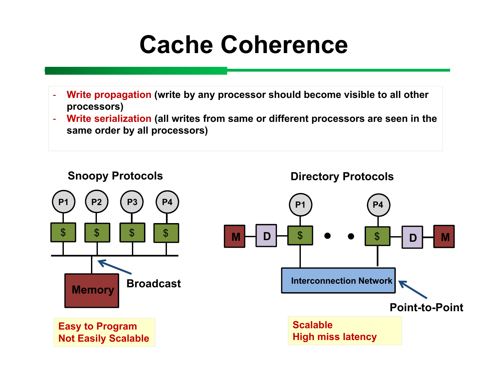## **Cache Coherence**

- Write propagation (write by any processor should become visible to all other processors)
- Write serialization (all writes from same or different processors are seen in the same order by all processors)

**Snoopy Protocols** 

**Directory Protocols** 

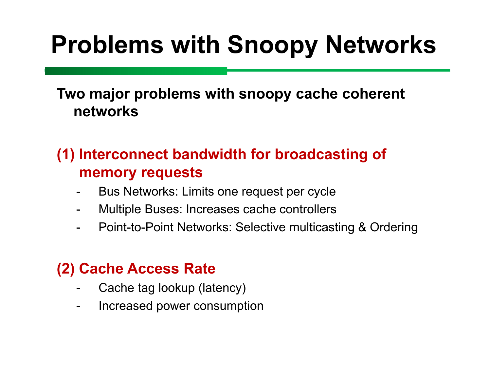# **Problems with Snoopy Networks**

Two major problems with snoopy cache coherent networks

#### (1) Interconnect bandwidth for broadcasting of **memory requests**

- Bus Networks: Limits one request per cycle
- Multiple Buses: Increases cache controllers
- Point-to-Point Networks: Selective multicasting & Ordering

#### **(2) Cache Access Rate**

- Cache tag lookup (latency)
- Increased power consumption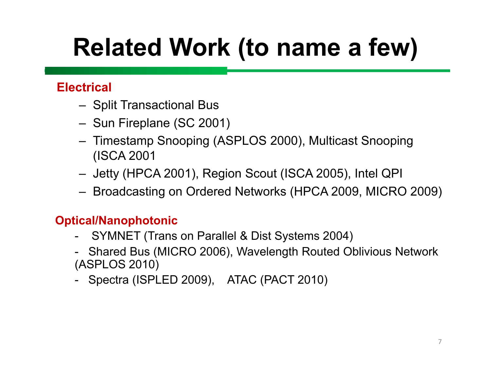# **Related W ork (to name a few)**

#### **Electrical**

- Split T ransactional Bus
- Sun Fireplane (SC 2001)
- Timestamp Snooping (ASPLOS 2000), Multicast Snooping (ISCA 2001
- Jetty (HPCA 2001), Region Scout (ISCA 2005), Intel QPI
- Broadcasting on Ordered Networks (HPCA 2009, MICRO 2009)

#### **Optical/Nanophotonic**

- SYMNET (Trans on Parallel & Dist Systems 2004)
- Shared Bus (MICRO 2006), W avelength Routed Oblivious Network (ASPLOS 2010)
- Spectra (ISPLED 2009), ATAC (PACT 2010)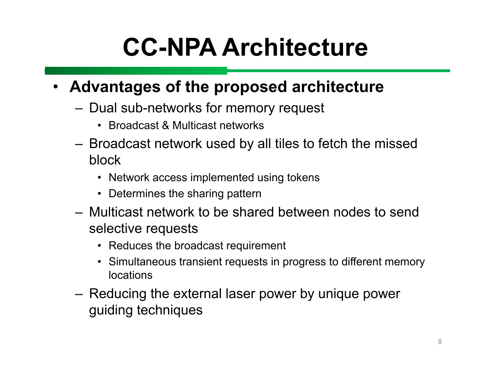# **CC-NPA Architecture**

#### • **Advantages of the proposed architecture**

- Dual sub-networks for memory request
	- Broadcast & Multicast networks
- Broadcast network used by all tiles to fetch the missed block
	- Network access implemented using tokens
	- Determines the sharing pattern
- Multicast network to be shared between nodes to send selective requests
	- Reduces the broadcast requirement
	- Simultaneous transient requests in progress to different memory locations
- Reducing the external laser power by unique power guiding techniques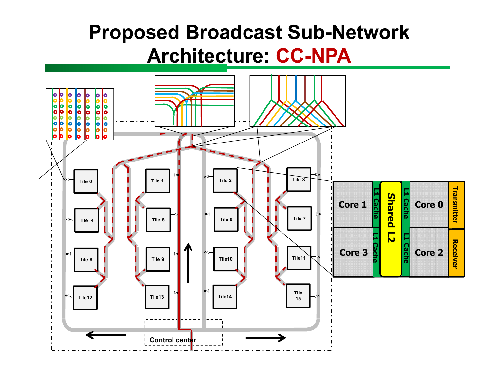### **Proposed Broadcast Sub-Network A rchitect u re: CC-NPA**

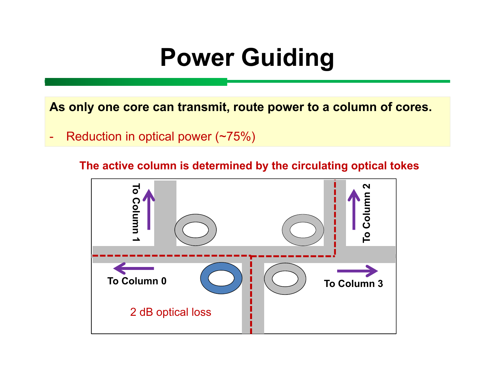## **Power Guiding**

**As only one core can transmit, route power to a column of cores.** 

- Reduction in optical power (~75%)

**The active column is determined by the circulating optical tokes**

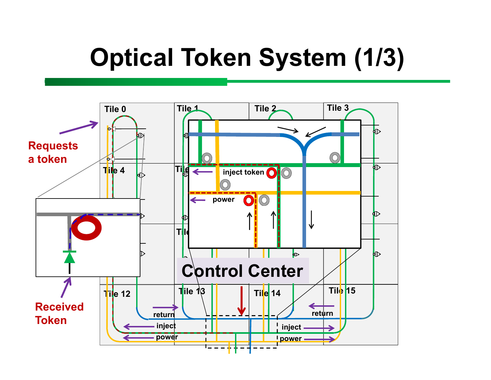## **Optical Token System (1/3)**

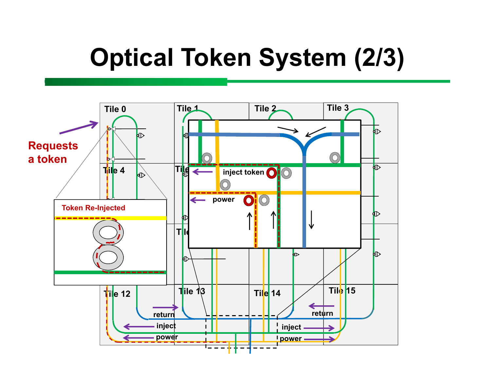### **Optical Token System (2/3)**

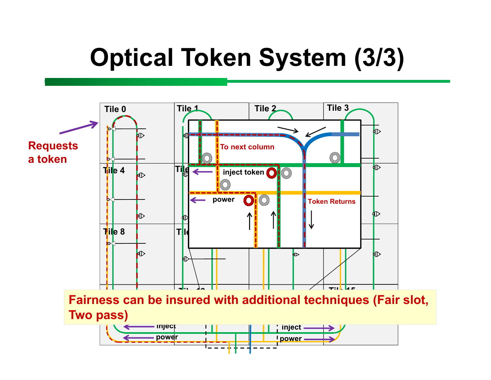## **Optical Token System (3/3)**

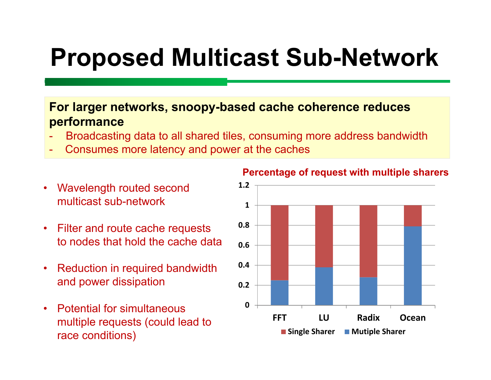### **Proposed Multicast Sub-Network**

#### **For larger networks, snoopy-based cache coherence reduces performance**

- Broadcasting data to all shared tiles, consuming more address bandwidth
- Consumes more latency and power at the caches
- Wavelength routed second multicast sub-network
- Filter and route cache requests to nodes that hold the cache data
- Reduction in required bandwidth and power dissipation
- Potential for simultaneous multiple requests (could lead to race conditions)



#### Percentage of request with multiple sharers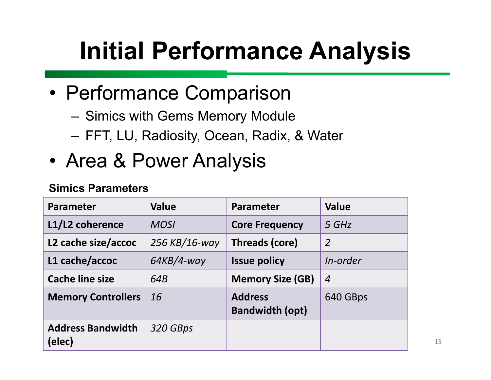# **Initial Performance Analysis**

- Performance Comparison
	- Simics with Gems Memory Module
	- FFT, LU, Radiosity, Ocean, Radix, & Water
- Area & Power Analysis

#### **Simics Parameters**

| <b>Parameter</b>                   | <b>Value</b>  | <b>Parameter</b>                         | <b>Value</b>   |
|------------------------------------|---------------|------------------------------------------|----------------|
| L1/L2 coherence                    | <b>MOSI</b>   | <b>Core Frequency</b>                    | 5 GHz          |
| L2 cache size/accoc                | 256 KB/16-way | <b>Threads (core)</b>                    | $\overline{2}$ |
| L1 cache/accoc                     | $64KB/4$ -way | <b>Issue policy</b>                      | In-order       |
| <b>Cache line size</b>             | 64B           | <b>Memory Size (GB)</b>                  | $\overline{4}$ |
| <b>Memory Controllers</b>          | 16            | <b>Address</b><br><b>Bandwidth (opt)</b> | 640 GBps       |
| <b>Address Bandwidth</b><br>(elec) | 320 GBps      |                                          |                |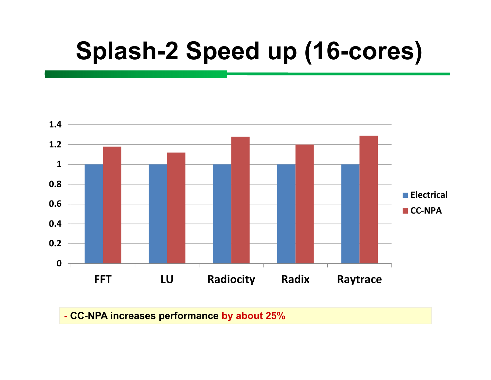## **Splash-2 Speed up (16-cores)**



- CC-NPA increases performance by about 25%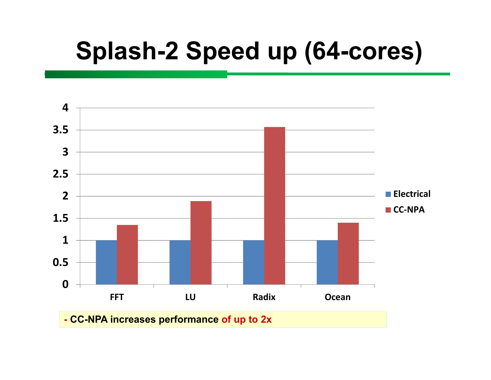### **Splash-2 Speed up (64-cores)**

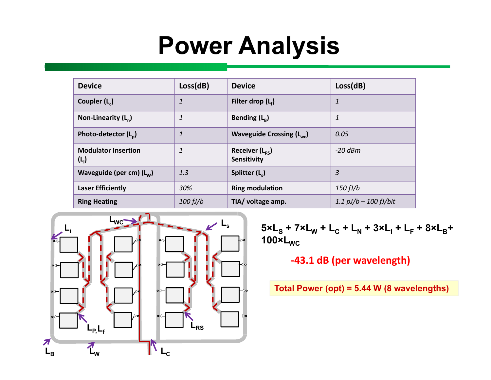## **Power Analysis**

| <b>Device</b>                         | Loss(dB)     | <b>Device</b>                                  | Loss(dB)                |
|---------------------------------------|--------------|------------------------------------------------|-------------------------|
| Coupler $(L_c)$                       | $\mathbf{1}$ | Filter drop $(L)$                              | $\mathbf{1}$            |
| Non-Linearity $(L_n)$                 | 1            | Bending $(L_{\rm B})$                          | 1                       |
| Photo-detector $(L_{p})$              | $\mathbf{1}$ | Waveguide Crossing $(L_{wc})$                  | 0.05                    |
| <b>Modulator Insertion</b><br>$(L_i)$ | 1            | Receiver $(L_{\rm{rc}})$<br><b>Sensitivity</b> | $-20$ dBm               |
| Waveguide (per cm) $(L_w)$            | 1.3          | Splitter (L)                                   | 3                       |
| <b>Laser Efficiently</b>              | 30%          | <b>Ring modulation</b>                         | 150fJ/b                 |
| <b>Ring Heating</b>                   | 100 fJ/b     | TIA/ voltage amp.                              | 1.1 $pJ/b - 100 fJ/bit$ |



 $5 \times L_S + 7 \times L_W + L_C + L_N + 3 \times L_I + L_F + 8 \times L_B +$  $100\times L_{WC}$ 

#### -43.1 dB (per wavelength)

Total Power (opt) = 5.44 W (8 wavelengths)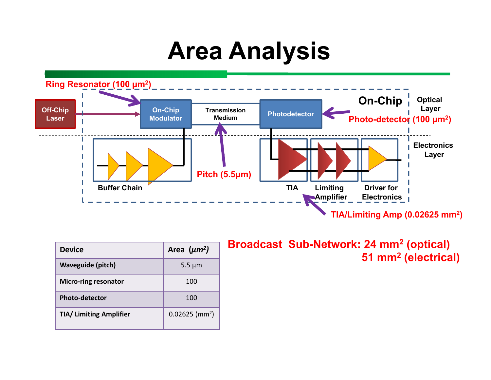### **Area Analysis**



| <b>Device</b>                  | Area $(\mu m^2)$             |
|--------------------------------|------------------------------|
| <b>Waveguide (pitch)</b>       | $5.5 \mu m$                  |
| <b>Micro-ring resonator</b>    | 100                          |
| <b>Photo-detector</b>          | 100                          |
| <b>TIA/ Limiting Amplifier</b> | $0.02625$ (mm <sup>2</sup> ) |

Broadcast Sub-Network: 24 mm<sup>2</sup> (optical) 51 mm<sup>2</sup> (electrical)